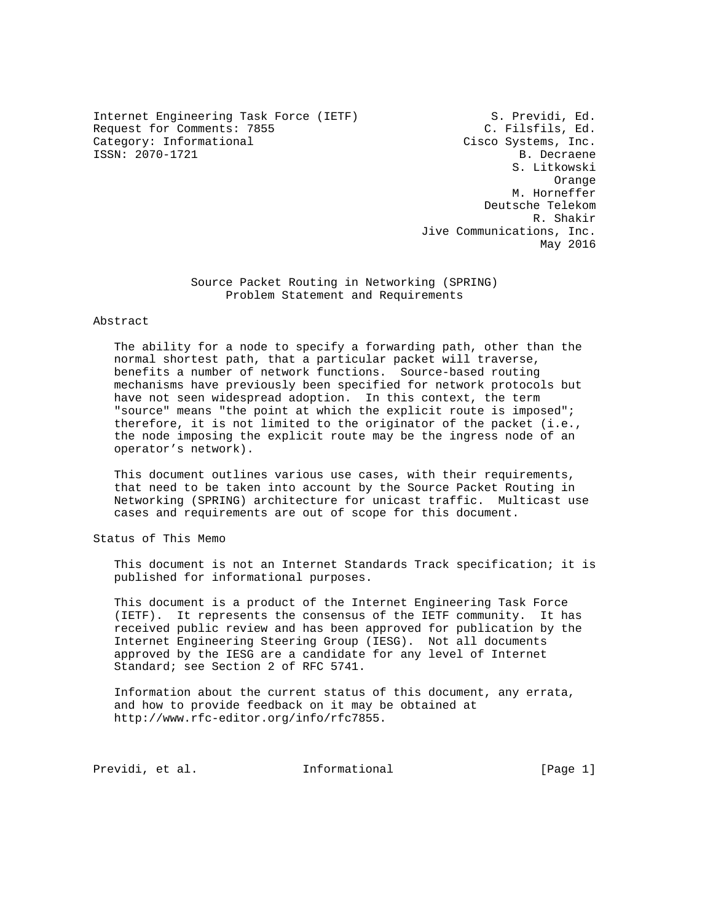Internet Engineering Task Force (IETF) S. Previdi, Ed. Request for Comments: 7855 C. Filsfils, Ed. Category: Informational Category: Cisco Systems, Inc. ISSN: 2070-1721 B. Decraene

 S. Litkowski Orange M. Horneffer Deutsche Telekom R. Shakir Jive Communications, Inc. May 2016

> Source Packet Routing in Networking (SPRING) Problem Statement and Requirements

# Abstract

 The ability for a node to specify a forwarding path, other than the normal shortest path, that a particular packet will traverse, benefits a number of network functions. Source-based routing mechanisms have previously been specified for network protocols but have not seen widespread adoption. In this context, the term "source" means "the point at which the explicit route is imposed"; therefore, it is not limited to the originator of the packet (i.e., the node imposing the explicit route may be the ingress node of an operator's network).

 This document outlines various use cases, with their requirements, that need to be taken into account by the Source Packet Routing in Networking (SPRING) architecture for unicast traffic. Multicast use cases and requirements are out of scope for this document.

Status of This Memo

 This document is not an Internet Standards Track specification; it is published for informational purposes.

 This document is a product of the Internet Engineering Task Force (IETF). It represents the consensus of the IETF community. It has received public review and has been approved for publication by the Internet Engineering Steering Group (IESG). Not all documents approved by the IESG are a candidate for any level of Internet Standard; see Section 2 of RFC 5741.

 Information about the current status of this document, any errata, and how to provide feedback on it may be obtained at http://www.rfc-editor.org/info/rfc7855.

Previdi, et al. 10. Informational [Page 1]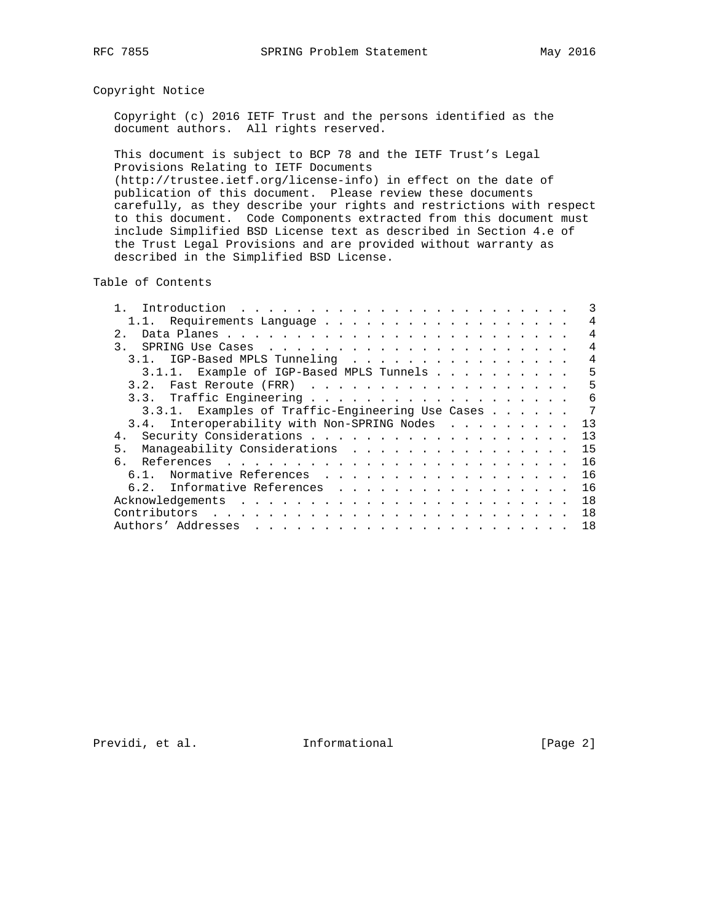# Copyright Notice

 Copyright (c) 2016 IETF Trust and the persons identified as the document authors. All rights reserved.

 This document is subject to BCP 78 and the IETF Trust's Legal Provisions Relating to IETF Documents (http://trustee.ietf.org/license-info) in effect on the date of publication of this document. Please review these documents

 carefully, as they describe your rights and restrictions with respect to this document. Code Components extracted from this document must include Simplified BSD License text as described in Section 4.e of the Trust Legal Provisions and are provided without warranty as described in the Simplified BSD License.

Table of Contents

| 1.1. Requirements Language                       | 4  |
|--------------------------------------------------|----|
| 2.1                                              | 4  |
| $\mathcal{R}$                                    | 4  |
| IGP-Based MPLS Tunneling                         | 4  |
| 3.1.1. Example of IGP-Based MPLS Tunnels         | 5  |
| 3.2.                                             | 5  |
|                                                  | 6  |
| 3.3.1. Examples of Traffic-Engineering Use Cases | 7  |
| 3.4. Interoperability with Non-SPRING Nodes      | 13 |
| 4.                                               | 13 |
| Manaqeability Considerations<br>5 <sub>1</sub>   | 15 |
| $6 -$                                            | 16 |
| Normative References<br>61                       | 16 |
| Informative References<br>6.2.                   | 16 |
|                                                  | 18 |
|                                                  | 18 |
|                                                  | 18 |

Previdi, et al. 1nformational [Page 2]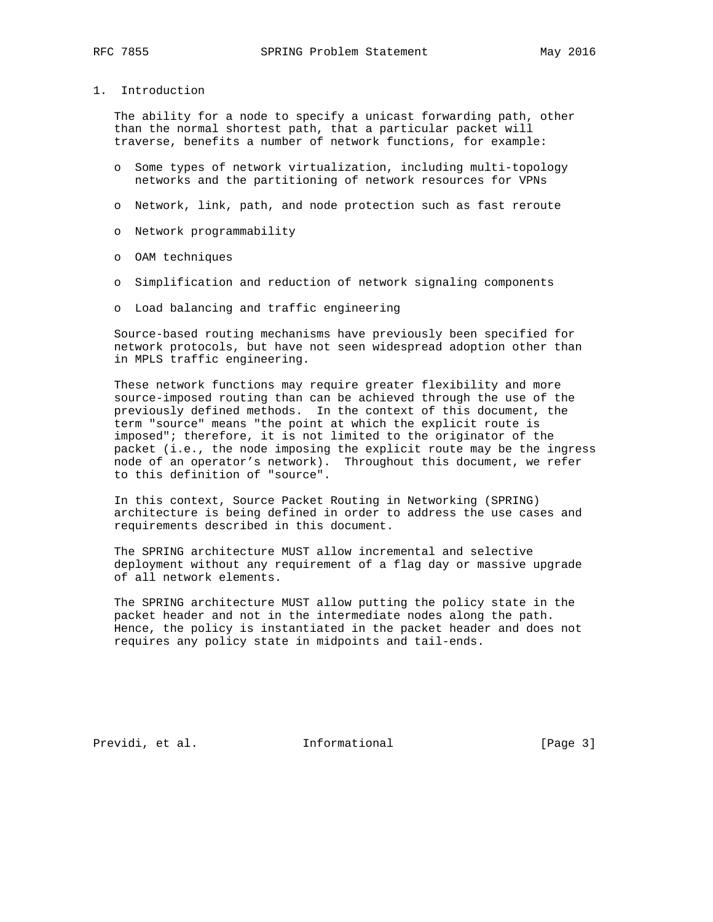1. Introduction

 The ability for a node to specify a unicast forwarding path, other than the normal shortest path, that a particular packet will traverse, benefits a number of network functions, for example:

- o Some types of network virtualization, including multi-topology networks and the partitioning of network resources for VPNs
- o Network, link, path, and node protection such as fast reroute
- o Network programmability
- o OAM techniques
- o Simplification and reduction of network signaling components
- o Load balancing and traffic engineering

 Source-based routing mechanisms have previously been specified for network protocols, but have not seen widespread adoption other than in MPLS traffic engineering.

 These network functions may require greater flexibility and more source-imposed routing than can be achieved through the use of the previously defined methods. In the context of this document, the term "source" means "the point at which the explicit route is imposed"; therefore, it is not limited to the originator of the packet (i.e., the node imposing the explicit route may be the ingress node of an operator's network). Throughout this document, we refer to this definition of "source".

 In this context, Source Packet Routing in Networking (SPRING) architecture is being defined in order to address the use cases and requirements described in this document.

 The SPRING architecture MUST allow incremental and selective deployment without any requirement of a flag day or massive upgrade of all network elements.

 The SPRING architecture MUST allow putting the policy state in the packet header and not in the intermediate nodes along the path. Hence, the policy is instantiated in the packet header and does not requires any policy state in midpoints and tail-ends.

Previdi, et al. 1nformational 1999 [Page 3]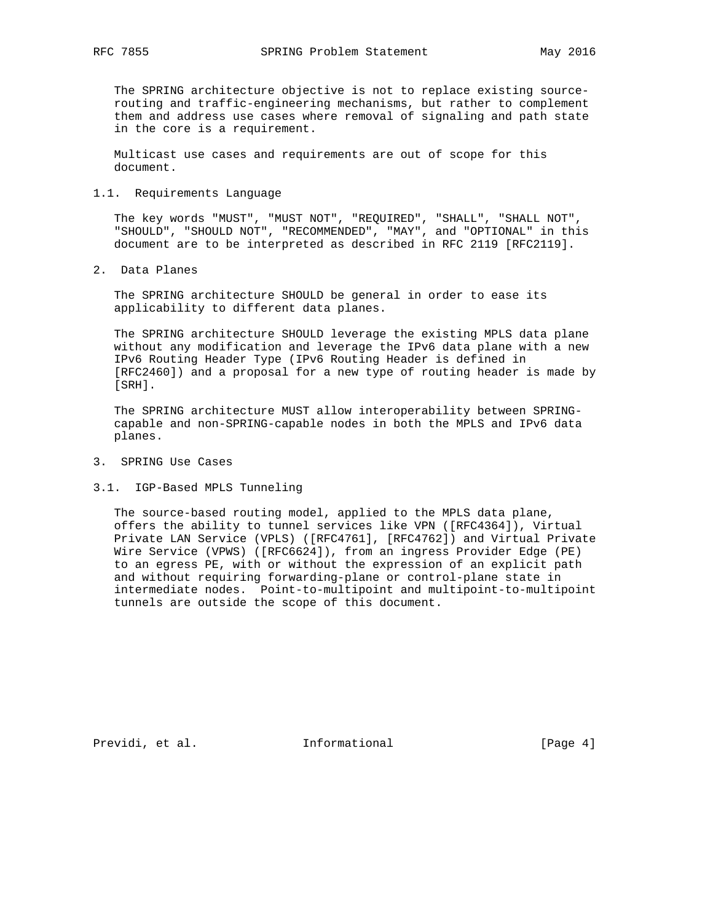The SPRING architecture objective is not to replace existing source routing and traffic-engineering mechanisms, but rather to complement them and address use cases where removal of signaling and path state in the core is a requirement.

 Multicast use cases and requirements are out of scope for this document.

#### 1.1. Requirements Language

 The key words "MUST", "MUST NOT", "REQUIRED", "SHALL", "SHALL NOT", "SHOULD", "SHOULD NOT", "RECOMMENDED", "MAY", and "OPTIONAL" in this document are to be interpreted as described in RFC 2119 [RFC2119].

2. Data Planes

 The SPRING architecture SHOULD be general in order to ease its applicability to different data planes.

 The SPRING architecture SHOULD leverage the existing MPLS data plane without any modification and leverage the IPv6 data plane with a new IPv6 Routing Header Type (IPv6 Routing Header is defined in [RFC2460]) and a proposal for a new type of routing header is made by [SRH].

 The SPRING architecture MUST allow interoperability between SPRING capable and non-SPRING-capable nodes in both the MPLS and IPv6 data planes.

- 3. SPRING Use Cases
- 3.1. IGP-Based MPLS Tunneling

 The source-based routing model, applied to the MPLS data plane, offers the ability to tunnel services like VPN ([RFC4364]), Virtual Private LAN Service (VPLS) ([RFC4761], [RFC4762]) and Virtual Private Wire Service (VPWS) ([RFC6624]), from an ingress Provider Edge (PE) to an egress PE, with or without the expression of an explicit path and without requiring forwarding-plane or control-plane state in intermediate nodes. Point-to-multipoint and multipoint-to-multipoint tunnels are outside the scope of this document.

Previdi, et al. 1nformational [Page 4]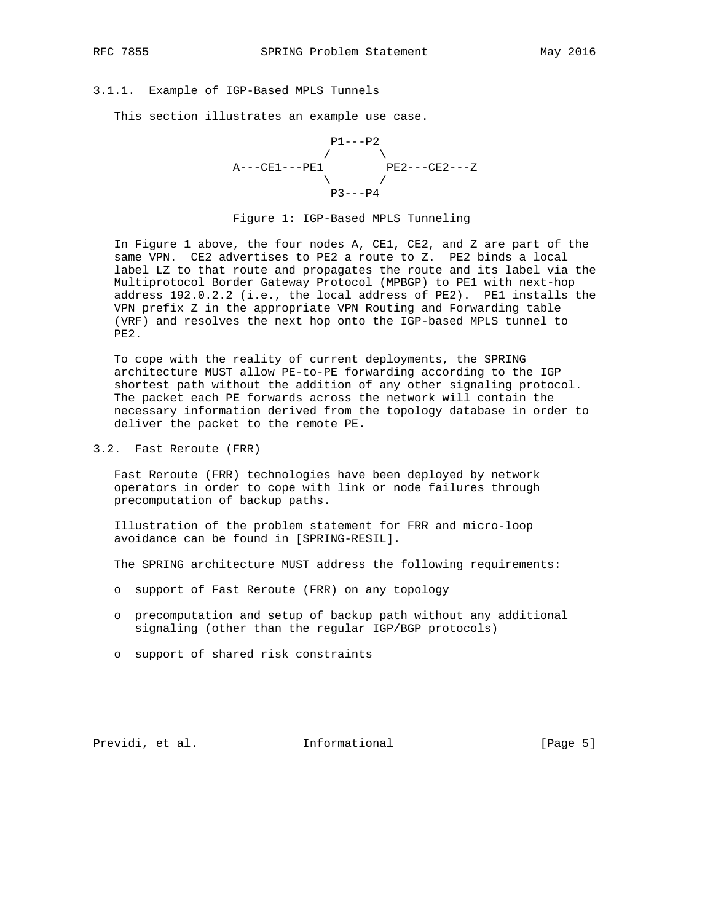## 3.1.1. Example of IGP-Based MPLS Tunnels

This section illustrates an example use case.



#### Figure 1: IGP-Based MPLS Tunneling

 In Figure 1 above, the four nodes A, CE1, CE2, and Z are part of the same VPN. CE2 advertises to PE2 a route to Z. PE2 binds a local label LZ to that route and propagates the route and its label via the Multiprotocol Border Gateway Protocol (MPBGP) to PE1 with next-hop address 192.0.2.2 (i.e., the local address of PE2). PE1 installs the VPN prefix Z in the appropriate VPN Routing and Forwarding table (VRF) and resolves the next hop onto the IGP-based MPLS tunnel to PE2.

 To cope with the reality of current deployments, the SPRING architecture MUST allow PE-to-PE forwarding according to the IGP shortest path without the addition of any other signaling protocol. The packet each PE forwards across the network will contain the necessary information derived from the topology database in order to deliver the packet to the remote PE.

3.2. Fast Reroute (FRR)

 Fast Reroute (FRR) technologies have been deployed by network operators in order to cope with link or node failures through precomputation of backup paths.

 Illustration of the problem statement for FRR and micro-loop avoidance can be found in [SPRING-RESIL].

The SPRING architecture MUST address the following requirements:

- o support of Fast Reroute (FRR) on any topology
- o precomputation and setup of backup path without any additional signaling (other than the regular IGP/BGP protocols)
- o support of shared risk constraints

Previdi, et al. 10 Informational 1996 [Page 5]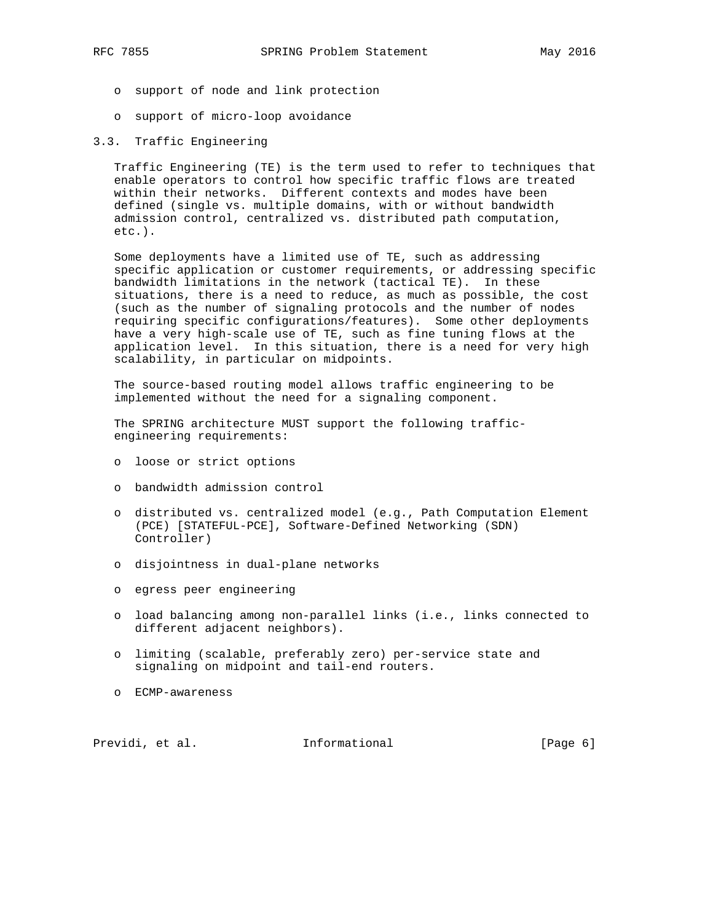- o support of node and link protection
- o support of micro-loop avoidance
- 3.3. Traffic Engineering

 Traffic Engineering (TE) is the term used to refer to techniques that enable operators to control how specific traffic flows are treated within their networks. Different contexts and modes have been defined (single vs. multiple domains, with or without bandwidth admission control, centralized vs. distributed path computation, etc.).

 Some deployments have a limited use of TE, such as addressing specific application or customer requirements, or addressing specific bandwidth limitations in the network (tactical TE). In these situations, there is a need to reduce, as much as possible, the cost (such as the number of signaling protocols and the number of nodes requiring specific configurations/features). Some other deployments have a very high-scale use of TE, such as fine tuning flows at the application level. In this situation, there is a need for very high scalability, in particular on midpoints.

 The source-based routing model allows traffic engineering to be implemented without the need for a signaling component.

 The SPRING architecture MUST support the following traffic engineering requirements:

- o loose or strict options
- o bandwidth admission control
- o distributed vs. centralized model (e.g., Path Computation Element (PCE) [STATEFUL-PCE], Software-Defined Networking (SDN) Controller)
- o disjointness in dual-plane networks
- o egress peer engineering
- o load balancing among non-parallel links (i.e., links connected to different adjacent neighbors).
- o limiting (scalable, preferably zero) per-service state and signaling on midpoint and tail-end routers.
- o ECMP-awareness

Previdi, et al. 10 Informational 1999 [Page 6]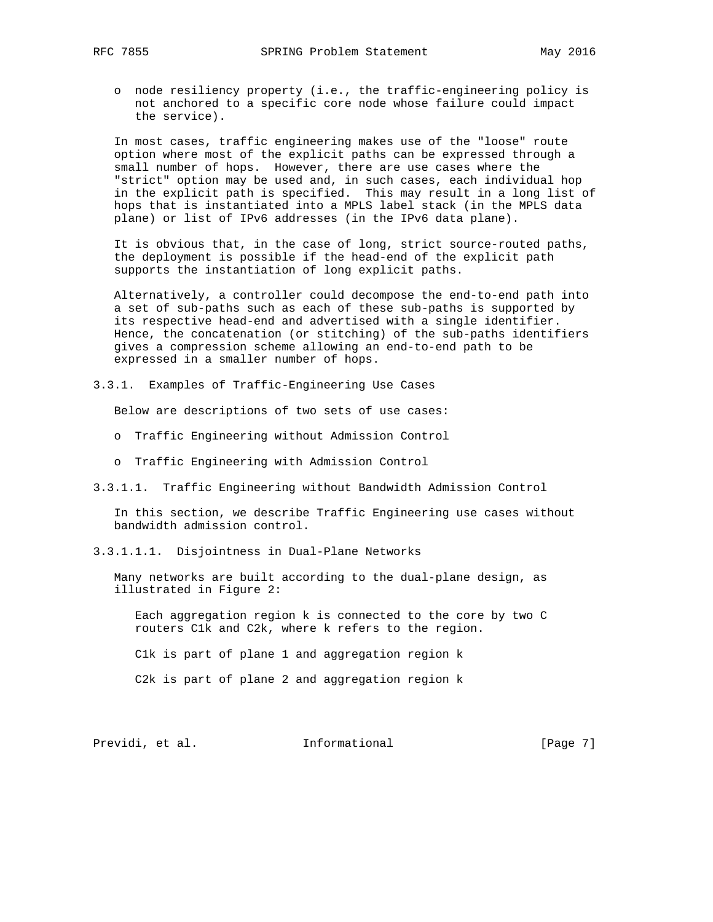- - o node resiliency property (i.e., the traffic-engineering policy is not anchored to a specific core node whose failure could impact the service).

 In most cases, traffic engineering makes use of the "loose" route option where most of the explicit paths can be expressed through a small number of hops. However, there are use cases where the "strict" option may be used and, in such cases, each individual hop in the explicit path is specified. This may result in a long list of hops that is instantiated into a MPLS label stack (in the MPLS data plane) or list of IPv6 addresses (in the IPv6 data plane).

 It is obvious that, in the case of long, strict source-routed paths, the deployment is possible if the head-end of the explicit path supports the instantiation of long explicit paths.

 Alternatively, a controller could decompose the end-to-end path into a set of sub-paths such as each of these sub-paths is supported by its respective head-end and advertised with a single identifier. Hence, the concatenation (or stitching) of the sub-paths identifiers gives a compression scheme allowing an end-to-end path to be expressed in a smaller number of hops.

3.3.1. Examples of Traffic-Engineering Use Cases

Below are descriptions of two sets of use cases:

- o Traffic Engineering without Admission Control
- o Traffic Engineering with Admission Control
- 3.3.1.1. Traffic Engineering without Bandwidth Admission Control

 In this section, we describe Traffic Engineering use cases without bandwidth admission control.

3.3.1.1.1. Disjointness in Dual-Plane Networks

 Many networks are built according to the dual-plane design, as illustrated in Figure 2:

 Each aggregation region k is connected to the core by two C routers C1k and C2k, where k refers to the region.

C1k is part of plane 1 and aggregation region k

C2k is part of plane 2 and aggregation region k

Previdi, et al. Informational [Page 7]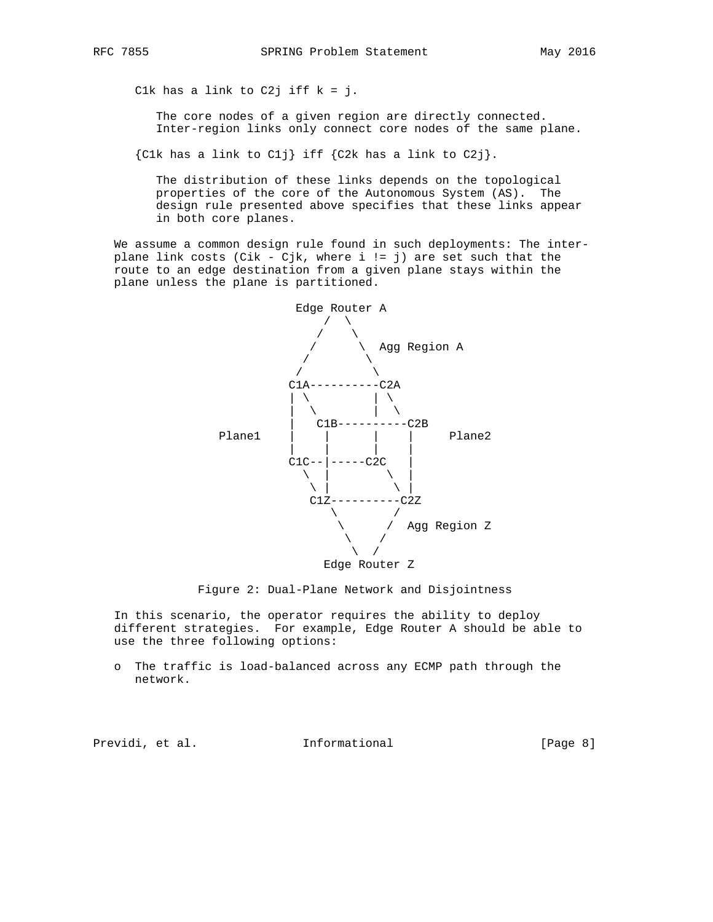Clk has a link to C2j iff  $k = j$ .

The core nodes of a given region are directly connected. Inter-region links only connect core nodes of the same plane.

 ${C1k}$  has a link to C1j} iff  ${C2k}$  has a link to C2j}.

 The distribution of these links depends on the topological properties of the core of the Autonomous System (AS). The design rule presented above specifies that these links appear in both core planes.

 We assume a common design rule found in such deployments: The inter plane link costs (Cik - Cjk, where i != j) are set such that the route to an edge destination from a given plane stays within the plane unless the plane is partitioned.



Figure 2: Dual-Plane Network and Disjointness

 In this scenario, the operator requires the ability to deploy different strategies. For example, Edge Router A should be able to use the three following options:

 o The traffic is load-balanced across any ECMP path through the network.

Previdi, et al. Informational [Page 8]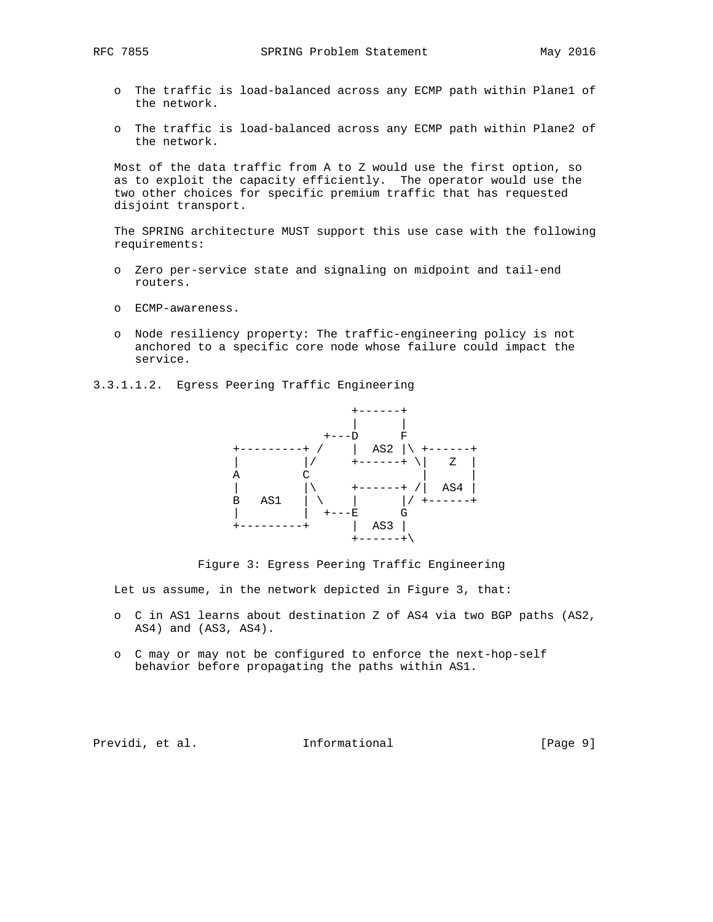- o The traffic is load-balanced across any ECMP path within Plane1 of the network.
- o The traffic is load-balanced across any ECMP path within Plane2 of the network.

 Most of the data traffic from A to Z would use the first option, so as to exploit the capacity efficiently. The operator would use the two other choices for specific premium traffic that has requested disjoint transport.

 The SPRING architecture MUST support this use case with the following requirements:

- o Zero per-service state and signaling on midpoint and tail-end routers.
- o ECMP-awareness.
- o Node resiliency property: The traffic-engineering policy is not anchored to a specific core node whose failure could impact the service.
- 3.3.1.1.2. Egress Peering Traffic Engineering



Figure 3: Egress Peering Traffic Engineering

Let us assume, in the network depicted in Figure 3, that:

- o C in AS1 learns about destination Z of AS4 via two BGP paths (AS2, AS4) and (AS3, AS4).
- o C may or may not be configured to enforce the next-hop-self behavior before propagating the paths within AS1.

Previdi, et al. 10. Informational [Page 9]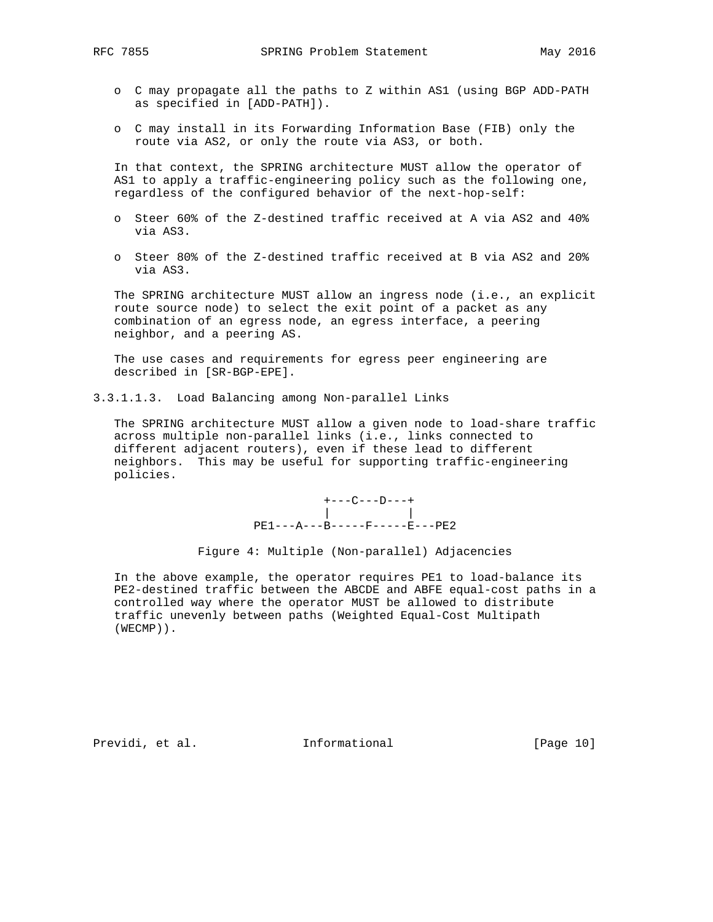- o C may propagate all the paths to Z within AS1 (using BGP ADD-PATH as specified in [ADD-PATH]).
- o C may install in its Forwarding Information Base (FIB) only the route via AS2, or only the route via AS3, or both.

 In that context, the SPRING architecture MUST allow the operator of AS1 to apply a traffic-engineering policy such as the following one, regardless of the configured behavior of the next-hop-self:

- o Steer 60% of the Z-destined traffic received at A via AS2 and 40% via AS3.
- o Steer 80% of the Z-destined traffic received at B via AS2 and 20% via AS3.

 The SPRING architecture MUST allow an ingress node (i.e., an explicit route source node) to select the exit point of a packet as any combination of an egress node, an egress interface, a peering neighbor, and a peering AS.

 The use cases and requirements for egress peer engineering are described in [SR-BGP-EPE].

3.3.1.1.3. Load Balancing among Non-parallel Links

 The SPRING architecture MUST allow a given node to load-share traffic across multiple non-parallel links (i.e., links connected to different adjacent routers), even if these lead to different neighbors. This may be useful for supporting traffic-engineering policies.

 $+---C---D---+$  | | PE1---A---B-----F-----E---PE2

Figure 4: Multiple (Non-parallel) Adjacencies

 In the above example, the operator requires PE1 to load-balance its PE2-destined traffic between the ABCDE and ABFE equal-cost paths in a controlled way where the operator MUST be allowed to distribute traffic unevenly between paths (Weighted Equal-Cost Multipath (WECMP)).

Previdi, et al. 10 Informational [Page 10]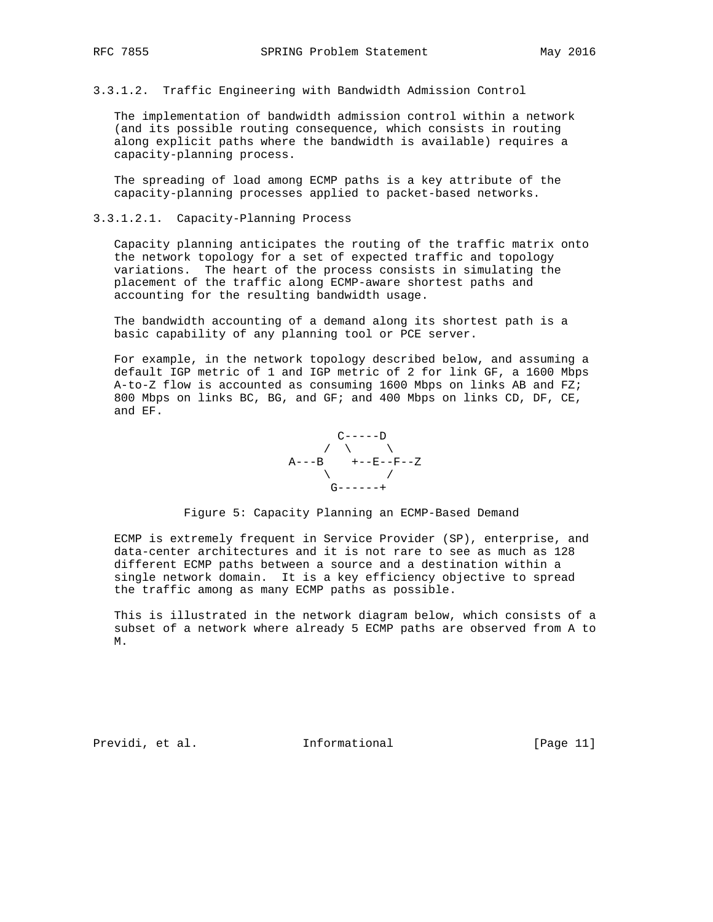3.3.1.2. Traffic Engineering with Bandwidth Admission Control

 The implementation of bandwidth admission control within a network (and its possible routing consequence, which consists in routing along explicit paths where the bandwidth is available) requires a capacity-planning process.

 The spreading of load among ECMP paths is a key attribute of the capacity-planning processes applied to packet-based networks.

### 3.3.1.2.1. Capacity-Planning Process

 Capacity planning anticipates the routing of the traffic matrix onto the network topology for a set of expected traffic and topology variations. The heart of the process consists in simulating the placement of the traffic along ECMP-aware shortest paths and accounting for the resulting bandwidth usage.

 The bandwidth accounting of a demand along its shortest path is a basic capability of any planning tool or PCE server.

 For example, in the network topology described below, and assuming a default IGP metric of 1 and IGP metric of 2 for link GF, a 1600 Mbps A-to-Z flow is accounted as consuming  $1600$  Mbps on links AB and FZ; 800 Mbps on links BC, BG, and GF; and 400 Mbps on links CD, DF, CE, and EF.



#### Figure 5: Capacity Planning an ECMP-Based Demand

 ECMP is extremely frequent in Service Provider (SP), enterprise, and data-center architectures and it is not rare to see as much as 128 different ECMP paths between a source and a destination within a single network domain. It is a key efficiency objective to spread the traffic among as many ECMP paths as possible.

 This is illustrated in the network diagram below, which consists of a subset of a network where already 5 ECMP paths are observed from A to M.

Previdi, et al. 10. Informational [Page 11]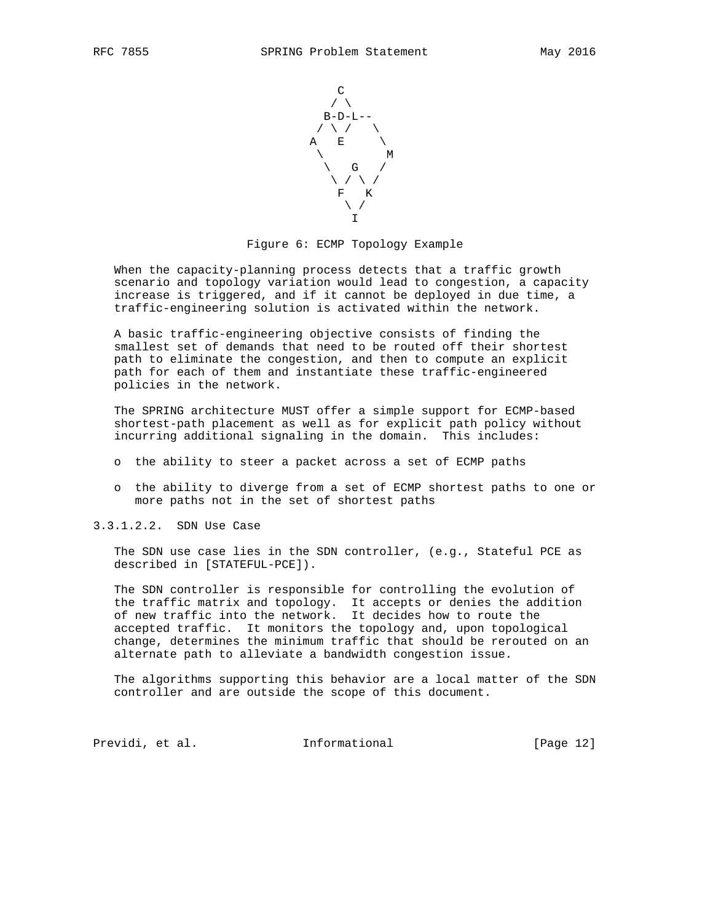

Figure 6: ECMP Topology Example

 When the capacity-planning process detects that a traffic growth scenario and topology variation would lead to congestion, a capacity increase is triggered, and if it cannot be deployed in due time, a traffic-engineering solution is activated within the network.

 A basic traffic-engineering objective consists of finding the smallest set of demands that need to be routed off their shortest path to eliminate the congestion, and then to compute an explicit path for each of them and instantiate these traffic-engineered policies in the network.

 The SPRING architecture MUST offer a simple support for ECMP-based shortest-path placement as well as for explicit path policy without incurring additional signaling in the domain. This includes:

- o the ability to steer a packet across a set of ECMP paths
- o the ability to diverge from a set of ECMP shortest paths to one or more paths not in the set of shortest paths

3.3.1.2.2. SDN Use Case

 The SDN use case lies in the SDN controller, (e.g., Stateful PCE as described in [STATEFUL-PCE]).

 The SDN controller is responsible for controlling the evolution of the traffic matrix and topology. It accepts or denies the addition of new traffic into the network. It decides how to route the accepted traffic. It monitors the topology and, upon topological change, determines the minimum traffic that should be rerouted on an alternate path to alleviate a bandwidth congestion issue.

 The algorithms supporting this behavior are a local matter of the SDN controller and are outside the scope of this document.

Previdi, et al. 10. Informational [Page 12]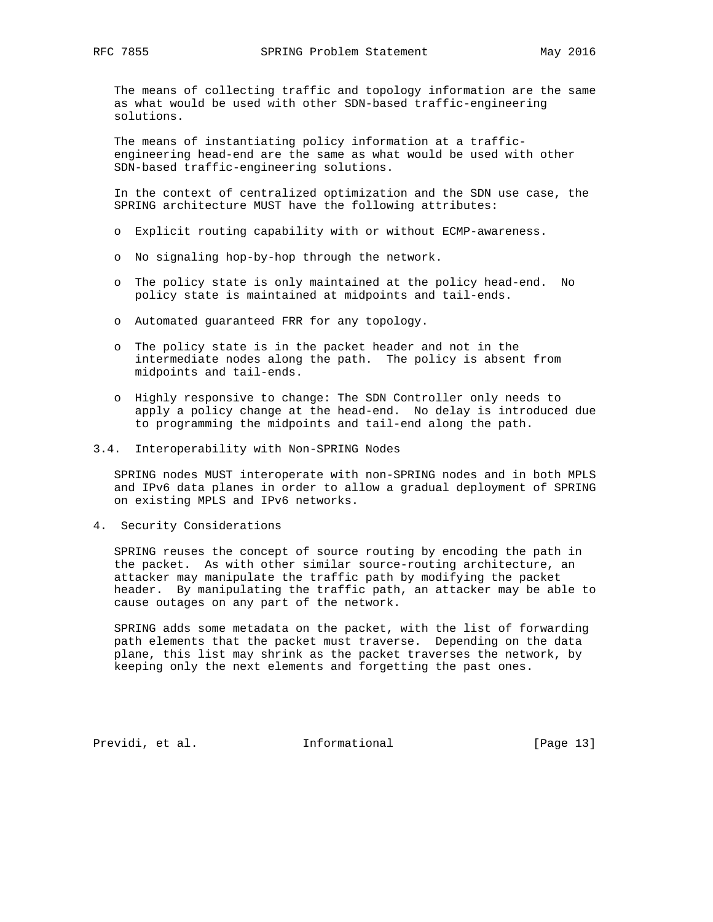The means of collecting traffic and topology information are the same as what would be used with other SDN-based traffic-engineering solutions.

 The means of instantiating policy information at a traffic engineering head-end are the same as what would be used with other SDN-based traffic-engineering solutions.

 In the context of centralized optimization and the SDN use case, the SPRING architecture MUST have the following attributes:

- o Explicit routing capability with or without ECMP-awareness.
- o No signaling hop-by-hop through the network.
- o The policy state is only maintained at the policy head-end. No policy state is maintained at midpoints and tail-ends.
- o Automated guaranteed FRR for any topology.
- o The policy state is in the packet header and not in the intermediate nodes along the path. The policy is absent from midpoints and tail-ends.
- o Highly responsive to change: The SDN Controller only needs to apply a policy change at the head-end. No delay is introduced due to programming the midpoints and tail-end along the path.
- 3.4. Interoperability with Non-SPRING Nodes

 SPRING nodes MUST interoperate with non-SPRING nodes and in both MPLS and IPv6 data planes in order to allow a gradual deployment of SPRING on existing MPLS and IPv6 networks.

4. Security Considerations

 SPRING reuses the concept of source routing by encoding the path in the packet. As with other similar source-routing architecture, an attacker may manipulate the traffic path by modifying the packet header. By manipulating the traffic path, an attacker may be able to cause outages on any part of the network.

 SPRING adds some metadata on the packet, with the list of forwarding path elements that the packet must traverse. Depending on the data plane, this list may shrink as the packet traverses the network, by keeping only the next elements and forgetting the past ones.

Previdi, et al. 10. Informational [Page 13]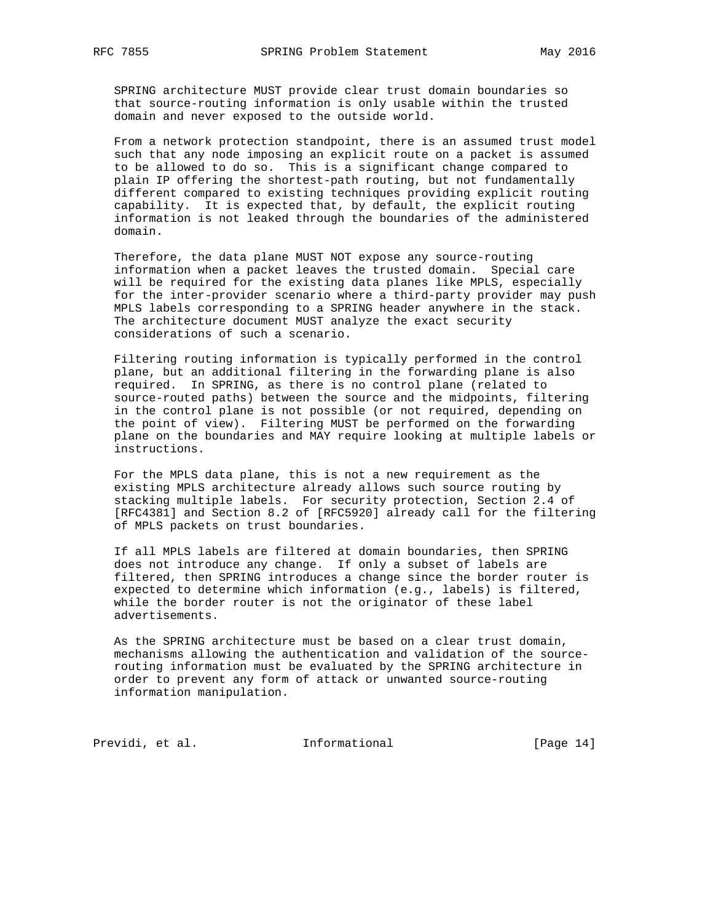SPRING architecture MUST provide clear trust domain boundaries so that source-routing information is only usable within the trusted domain and never exposed to the outside world.

 From a network protection standpoint, there is an assumed trust model such that any node imposing an explicit route on a packet is assumed to be allowed to do so. This is a significant change compared to plain IP offering the shortest-path routing, but not fundamentally different compared to existing techniques providing explicit routing capability. It is expected that, by default, the explicit routing information is not leaked through the boundaries of the administered domain.

 Therefore, the data plane MUST NOT expose any source-routing information when a packet leaves the trusted domain. Special care will be required for the existing data planes like MPLS, especially for the inter-provider scenario where a third-party provider may push MPLS labels corresponding to a SPRING header anywhere in the stack. The architecture document MUST analyze the exact security considerations of such a scenario.

 Filtering routing information is typically performed in the control plane, but an additional filtering in the forwarding plane is also required. In SPRING, as there is no control plane (related to source-routed paths) between the source and the midpoints, filtering in the control plane is not possible (or not required, depending on the point of view). Filtering MUST be performed on the forwarding plane on the boundaries and MAY require looking at multiple labels or instructions.

 For the MPLS data plane, this is not a new requirement as the existing MPLS architecture already allows such source routing by stacking multiple labels. For security protection, Section 2.4 of [RFC4381] and Section 8.2 of [RFC5920] already call for the filtering of MPLS packets on trust boundaries.

 If all MPLS labels are filtered at domain boundaries, then SPRING does not introduce any change. If only a subset of labels are filtered, then SPRING introduces a change since the border router is expected to determine which information (e.g., labels) is filtered, while the border router is not the originator of these label advertisements.

 As the SPRING architecture must be based on a clear trust domain, mechanisms allowing the authentication and validation of the source routing information must be evaluated by the SPRING architecture in order to prevent any form of attack or unwanted source-routing information manipulation.

Previdi, et al. 1nformational [Page 14]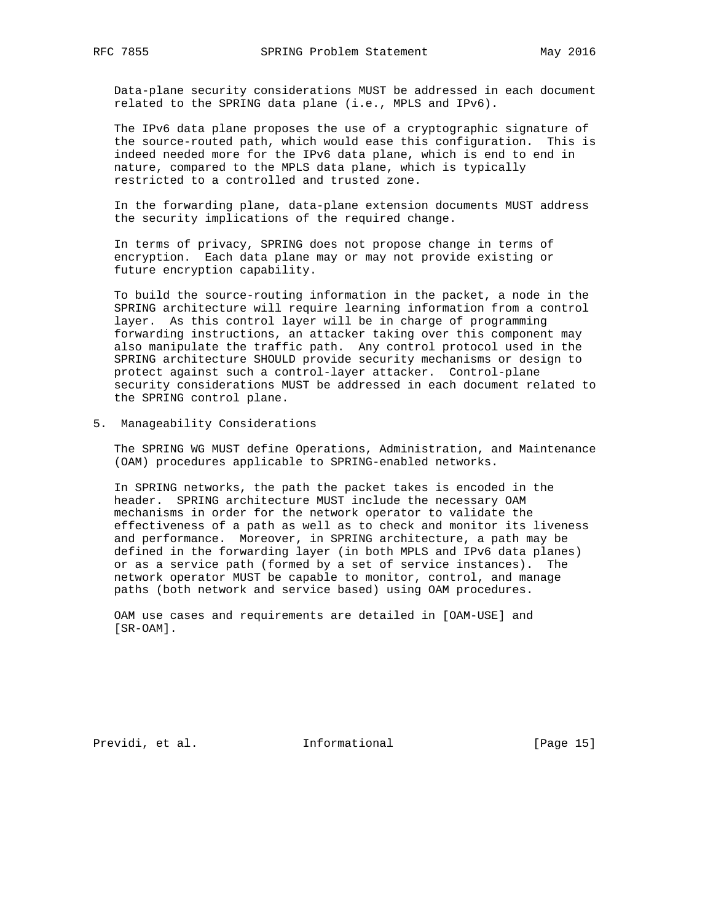Data-plane security considerations MUST be addressed in each document related to the SPRING data plane (i.e., MPLS and IPv6).

 The IPv6 data plane proposes the use of a cryptographic signature of the source-routed path, which would ease this configuration. This is indeed needed more for the IPv6 data plane, which is end to end in nature, compared to the MPLS data plane, which is typically restricted to a controlled and trusted zone.

 In the forwarding plane, data-plane extension documents MUST address the security implications of the required change.

 In terms of privacy, SPRING does not propose change in terms of encryption. Each data plane may or may not provide existing or future encryption capability.

 To build the source-routing information in the packet, a node in the SPRING architecture will require learning information from a control layer. As this control layer will be in charge of programming forwarding instructions, an attacker taking over this component may also manipulate the traffic path. Any control protocol used in the SPRING architecture SHOULD provide security mechanisms or design to protect against such a control-layer attacker. Control-plane security considerations MUST be addressed in each document related to the SPRING control plane.

5. Manageability Considerations

 The SPRING WG MUST define Operations, Administration, and Maintenance (OAM) procedures applicable to SPRING-enabled networks.

 In SPRING networks, the path the packet takes is encoded in the header. SPRING architecture MUST include the necessary OAM mechanisms in order for the network operator to validate the effectiveness of a path as well as to check and monitor its liveness and performance. Moreover, in SPRING architecture, a path may be defined in the forwarding layer (in both MPLS and IPv6 data planes) or as a service path (formed by a set of service instances). The network operator MUST be capable to monitor, control, and manage paths (both network and service based) using OAM procedures.

 OAM use cases and requirements are detailed in [OAM-USE] and [SR-OAM].

Previdi, et al. 10. Informational [Page 15]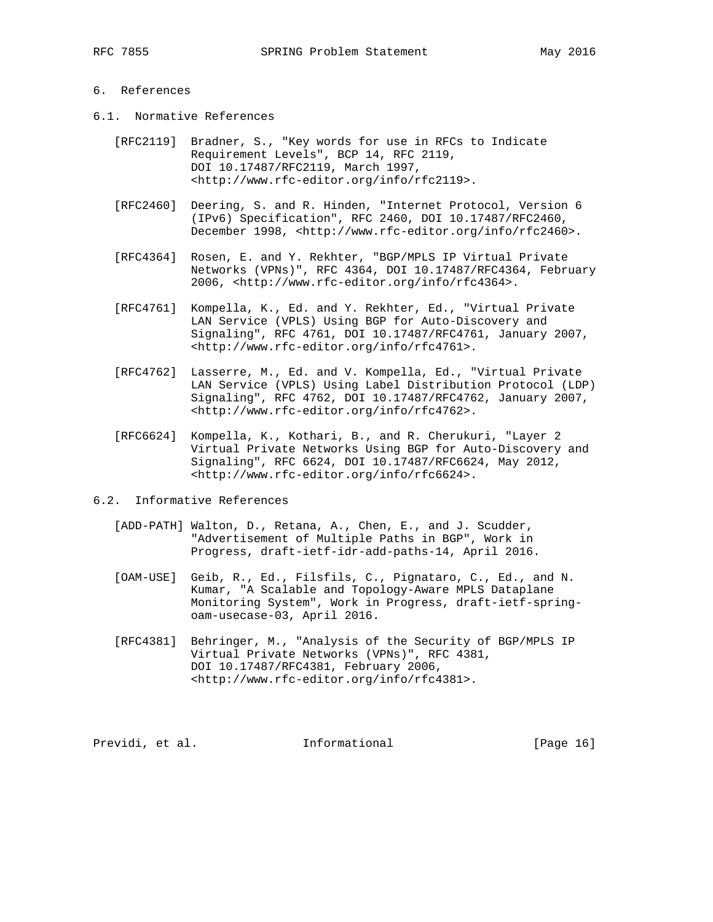# 6. References

- 6.1. Normative References
	- [RFC2119] Bradner, S., "Key words for use in RFCs to Indicate Requirement Levels", BCP 14, RFC 2119, DOI 10.17487/RFC2119, March 1997, <http://www.rfc-editor.org/info/rfc2119>.
	- [RFC2460] Deering, S. and R. Hinden, "Internet Protocol, Version 6 (IPv6) Specification", RFC 2460, DOI 10.17487/RFC2460, December 1998, <http://www.rfc-editor.org/info/rfc2460>.
	- [RFC4364] Rosen, E. and Y. Rekhter, "BGP/MPLS IP Virtual Private Networks (VPNs)", RFC 4364, DOI 10.17487/RFC4364, February 2006, <http://www.rfc-editor.org/info/rfc4364>.
	- [RFC4761] Kompella, K., Ed. and Y. Rekhter, Ed., "Virtual Private LAN Service (VPLS) Using BGP for Auto-Discovery and Signaling", RFC 4761, DOI 10.17487/RFC4761, January 2007, <http://www.rfc-editor.org/info/rfc4761>.
	- [RFC4762] Lasserre, M., Ed. and V. Kompella, Ed., "Virtual Private LAN Service (VPLS) Using Label Distribution Protocol (LDP) Signaling", RFC 4762, DOI 10.17487/RFC4762, January 2007, <http://www.rfc-editor.org/info/rfc4762>.
	- [RFC6624] Kompella, K., Kothari, B., and R. Cherukuri, "Layer 2 Virtual Private Networks Using BGP for Auto-Discovery and Signaling", RFC 6624, DOI 10.17487/RFC6624, May 2012, <http://www.rfc-editor.org/info/rfc6624>.
- 6.2. Informative References
	- [ADD-PATH] Walton, D., Retana, A., Chen, E., and J. Scudder, "Advertisement of Multiple Paths in BGP", Work in Progress, draft-ietf-idr-add-paths-14, April 2016.
	- [OAM-USE] Geib, R., Ed., Filsfils, C., Pignataro, C., Ed., and N. Kumar, "A Scalable and Topology-Aware MPLS Dataplane Monitoring System", Work in Progress, draft-ietf-spring oam-usecase-03, April 2016.
	- [RFC4381] Behringer, M., "Analysis of the Security of BGP/MPLS IP Virtual Private Networks (VPNs)", RFC 4381, DOI 10.17487/RFC4381, February 2006, <http://www.rfc-editor.org/info/rfc4381>.

Previdi, et al. 10. Informational [Page 16]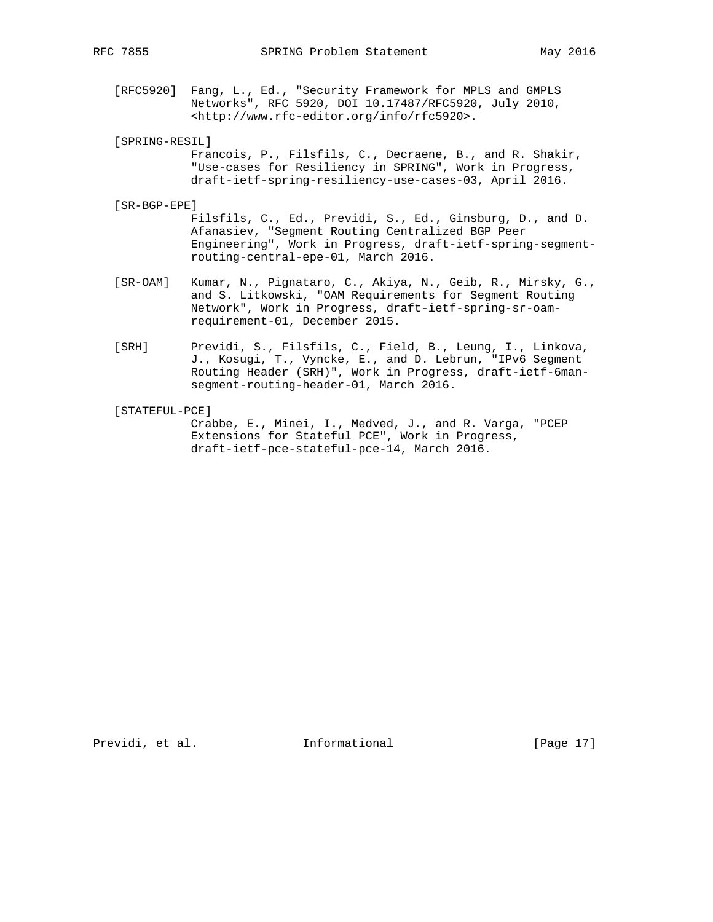- [RFC5920] Fang, L., Ed., "Security Framework for MPLS and GMPLS Networks", RFC 5920, DOI 10.17487/RFC5920, July 2010, <http://www.rfc-editor.org/info/rfc5920>.
- [SPRING-RESIL]
	- Francois, P., Filsfils, C., Decraene, B., and R. Shakir, "Use-cases for Resiliency in SPRING", Work in Progress, draft-ietf-spring-resiliency-use-cases-03, April 2016.
- [SR-BGP-EPE]

 Filsfils, C., Ed., Previdi, S., Ed., Ginsburg, D., and D. Afanasiev, "Segment Routing Centralized BGP Peer Engineering", Work in Progress, draft-ietf-spring-segment routing-central-epe-01, March 2016.

- [SR-OAM] Kumar, N., Pignataro, C., Akiya, N., Geib, R., Mirsky, G., and S. Litkowski, "OAM Requirements for Segment Routing Network", Work in Progress, draft-ietf-spring-sr-oam requirement-01, December 2015.
- [SRH] Previdi, S., Filsfils, C., Field, B., Leung, I., Linkova, J., Kosugi, T., Vyncke, E., and D. Lebrun, "IPv6 Segment Routing Header (SRH)", Work in Progress, draft-ietf-6man segment-routing-header-01, March 2016.
- [STATEFUL-PCE] Crabbe, E., Minei, I., Medved, J., and R. Varga, "PCEP Extensions for Stateful PCE", Work in Progress, draft-ietf-pce-stateful-pce-14, March 2016.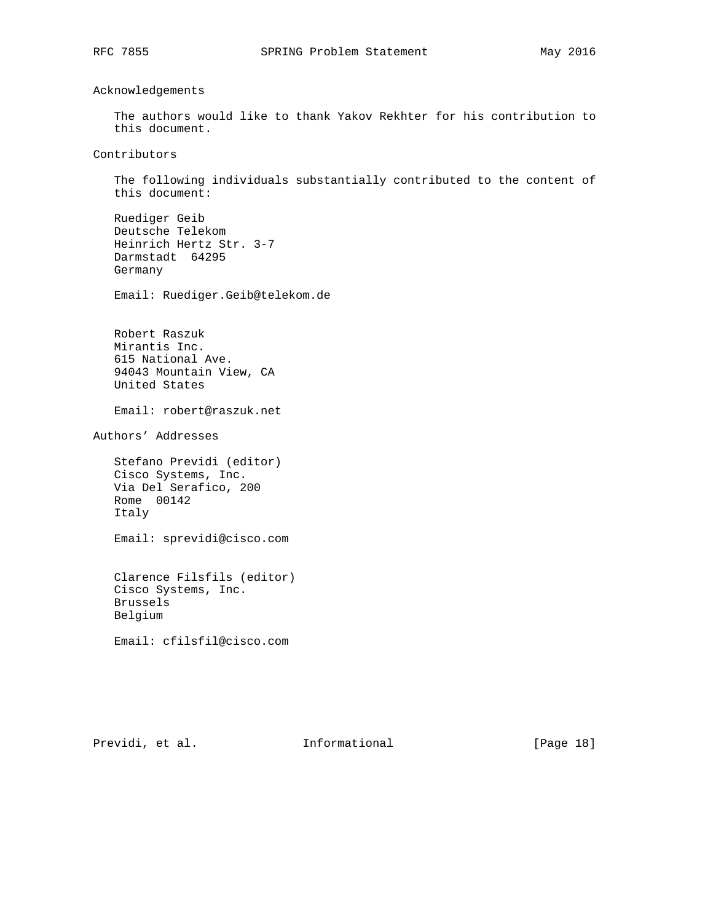Acknowledgements

 The authors would like to thank Yakov Rekhter for his contribution to this document.

Contributors

 The following individuals substantially contributed to the content of this document:

 Ruediger Geib Deutsche Telekom Heinrich Hertz Str. 3-7 Darmstadt 64295 Germany

Email: Ruediger.Geib@telekom.de

 Robert Raszuk Mirantis Inc. 615 National Ave. 94043 Mountain View, CA United States

Email: robert@raszuk.net

Authors' Addresses

 Stefano Previdi (editor) Cisco Systems, Inc. Via Del Serafico, 200 Rome 00142 Italy

Email: sprevidi@cisco.com

 Clarence Filsfils (editor) Cisco Systems, Inc. Brussels Belgium

Email: cfilsfil@cisco.com

Previdi, et al. 1nformational [Page 18]